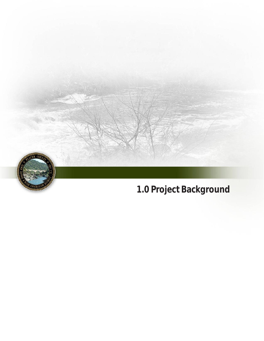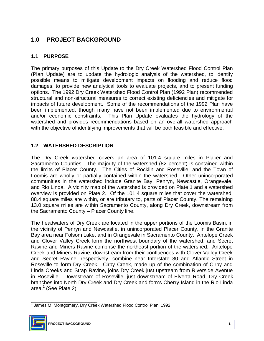# **1.0 PROJECT BACKGROUND**

## **1.1 PURPOSE**

 The primary purposes of this Update to the Dry Creek Watershed Flood Control Plan (Plan Update) are to update the hydrologic analysis of the watershed, to identify possible means to mitigate development impacts on flooding and reduce flood damages, to provide new analytical tools to evaluate projects, and to present funding options. The 1992 Dry Creek Watershed Flood Control Plan (1992 Plan) recommended structural and non-structural measures to correct existing deficiencies and mitigate for impacts of future development. Some of the recommendations of the 1992 Plan have been implemented, though many have not been implemented due to environmental and/or economic constraints. watershed and provides recommendations based on an overall watershed approach with the objective of identifying improvements that will be both feasible and effective. This Plan Update evaluates the hydrology of the

## **1.2 WATERSHED DESCRIPTION**

 The Dry Creek watershed covers an area of 101.4 square miles in Placer and Sacramento Counties. The majority of the watershed (82 percent) is contained within the limits of Placer County. The Cities of Rocklin and Roseville, and the Town of Loomis are wholly or partially contained within the watershed. Other unincorporated communities in the watershed include Granite Bay, Penryn, Newcastle, Orangevale, and Rio Linda. A vicinity map of the watershed is provided on Plate 1 and a watershed overview is provided on Plate 2. Of the 101.4 square miles that cover the watershed, 88.4 square miles are within, or are tributary to, parts of Placer County. The remaining 13.0 square miles are within Sacramento County, along Dry Creek, downstream from the Sacramento County – Placer County line.

 The headwaters of Dry Creek are located in the upper portions of the Loomis Basin, in Bay area near Folsom Lake, and in Orangevale in Sacramento County. Antelope Creek and Clover Valley Creek form the northwest boundary of the watershed, and Secret Ravine and Miners Ravine comprise the northeast portion of the watershed. Antelope Creek and Miners Ravine, downstream from their confluences with Clover Valley Creek Roseville to form Dry Creek. Cirby Creek, made up of the combination of Cirby and Linda Creeks and Strap Ravine, joins Dry Creek just upstream from Riverside Avenue in Roseville. Downstream of Roseville, just downstream of Elverta Road, Dry Creek branches into North Dry Creek and Dry Creek and forms Cherry Island in the Rio Linda area.<sup>1</sup> (See Plate 2) the vicinity of Penryn and Newcastle, in unincorporated Placer County, in the Granite and Secret Ravine, respectively, combine near Interstate 80 and Atlantic Street in

\_\_\_\_\_\_\_\_\_\_\_\_\_\_\_\_\_\_\_\_\_\_\_  $1$  James M. Montgomery, Dry Creek Watershed Flood Control Plan, 1992.

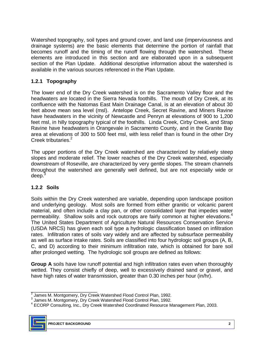Watershed topography, soil types and ground cover, and land use (imperviousness and drainage systems) are the basic elements that determine the portion of rainfall that becomes runoff and the timing of the runoff flowing through the watershed. These section of the Plan Update. Additional descriptive information about the watershed is available in the various sources referenced in the Plan Update. elements are introduced in this section and are elaborated upon in a subsequent

## **1.2.1 Topography**

 The lower end of the Dry Creek watershed is on the Sacramento Valley floor and the headwaters are located in the Sierra Nevada foothills. The mouth of Dry Creek, at its confluence with the Natomas East Main Drainage Canal, is at an elevation of about 30 feet above mean sea level (msl). Antelope Creek, Secret Ravine, and Miners Ravine Ravine have headwaters in Orangevale in Sacramento County, and in the Granite Bay area at elevations of 300 to 500 feet msl, with less relief than is found in the other Dry have headwaters in the vicinity of Newcastle and Penryn at elevations of 900 to 1,200 feet msl, in hilly topography typical of the foothills. Linda Creek, Cirby Creek, and Strap Creek tributaries.<sup>2</sup>

 The upper portions of the Dry Creek watershed are characterized by relatively steep slopes and moderate relief. The lower reaches of the Dry Creek watershed, especially downstream of Roseville, are characterized by very gentle slopes. The stream channels throughout the watershed are generally well defined, but are not especially wide or deep.<sup>3</sup>

### **1.2.2 Soils**

 Soils within the Dry Creek watershed are variable, depending upon landscape position and underlying geology. Most soils are formed from either granitic or volcanic parent material, and often include a clay pan, or other consolidated layer that impedes water permeability. Shallow soils and rock outcrops are fairly common at higher elevations.<sup>4</sup> The United States Department of Agriculture Natural Resources Conservation Service (USDA NRCS) has given each soil type a hydrologic classification based on infiltration rates. Infiltration rates of soils vary widely and are affected by subsurface permeability C, and D) according to their minimum infiltration rate, which is obtained for bare soil as well as surface intake rates. Soils are classified into four hydrologic soil groups (A, B, after prolonged wetting. The hydrologic soil groups are defined as follows:

**Group A** soils have low runoff potential and high infiltration rates even when thoroughly wetted. They consist chiefly of deep, well to excessively drained sand or gravel, and have high rates of water transmission, greater than 0.30 inches per hour (in/hr).

<sup>&</sup>lt;sup>4</sup> ECORP Consulting, Inc., Dry Creek Watershed Coordinated Resource Management Plan, 2003.



\_\_\_\_\_\_\_\_\_\_\_\_\_\_\_\_\_\_\_\_\_\_\_

 $2$  James M. Montgomery, Dry Creek Watershed Flood Control Plan, 1992.

 $3$  James M. Montgomery, Dry Creek Watershed Flood Control Plan, 1992.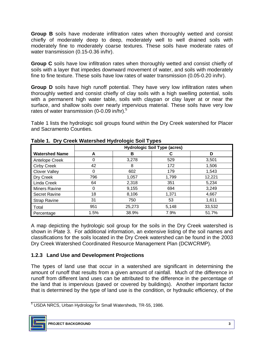Group B soils have moderate infiltration rates when thoroughly wetted and consist chiefly of moderately deep to deep, moderately well to well drained soils with moderately fine to moderately coarse textures. These soils have moderate rates of water transmission (0.15-0.36 in/hr).

Group C soils have low infiltration rates when thoroughly wetted and consist chiefly of soils with a layer that impedes downward movement of water, and soils with moderately fine to fine texture. These soils have low rates of water transmission (0.05-0.20 in/hr).

Group D soils have high runoff potential. They have very low infiltration rates when thoroughly wetted and consist chiefly of clay soils with a high swelling potential, soils with a permanent high water table, soils with claypan or clay layer at or near the surface, and shallow soils over nearly impervious material. These soils have very low rates of water transmission (0-0.09 in/hr).<sup>5</sup>

 Table 1 lists the hydrologic soil groups found within the Dry Creek watershed for Placer and Sacramento Counties.

|                       | <b>Hydrologic Soil Type (acres)</b> |        |       |        |  |
|-----------------------|-------------------------------------|--------|-------|--------|--|
| <b>Watershed Name</b> |                                     | в      |       |        |  |
| Antelope Creek        |                                     | 3,278  | 529   | 3,501  |  |
| Cirby Creek           | 42                                  | 8      | 172   | 1,506  |  |
| <b>Clover Valley</b>  |                                     | 602    | 179   | 1,543  |  |
| Dry Creek             | 796                                 | 1,057  | 1,799 | 12,221 |  |
| Linda Creek           | 64                                  | 2,318  | 351   | 5,234  |  |
| <b>Miners Ravine</b>  |                                     | 9,155  | 694   | 3,249  |  |
| Secret Ravine         | 18                                  | 8,106  | 1,371 | 4,667  |  |
| <b>Strap Ravine</b>   | 31                                  | 750    | 53    | 1,611  |  |
| Total                 | 951                                 | 25,273 | 5,148 | 33,532 |  |
| Percentage            | 1.5%                                | 38.9%  | 7.9%  | 51.7%  |  |

**Table 1. Dry Creek Watershed Hydrologic Soil Types** 

 A map depicting the hydrologic soil group for the soils in the Dry Creek watershed is shown in Plate 3. For additional information, an extensive listing of the soil names and classifications for the soils located in the Dry Creek watershed can be found in the 2003 Dry Creek Watershed Coordinated Resource Management Plan (DCWCRMP).

## **1.2.3 Land Use and Development Projections**

 The types of land use that occur in a watershed are significant in determining the amount of runoff that results from a given amount of rainfall. Much of the difference in runoff from different land uses can be attributed to the difference in the percentage of the land that is impervious (paved or covered by buildings). Another important factor that is determined by the type of land use is the condition, or hydraulic efficiency, of the

\_\_\_\_\_\_\_\_\_\_\_\_\_\_\_\_\_\_\_\_\_\_\_ 5 USDA NRCS, Urban Hydrology for Small Watersheds, TR-55, 1986.

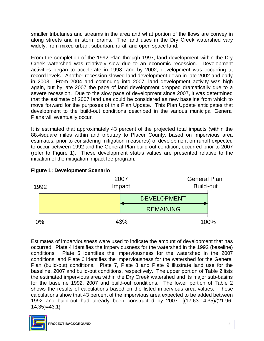smaller tributaries and streams in the area and what portion of the flows are convey in along streets and in storm drains. The land uses in the Dry Creek watershed vary widely, from mixed urban, suburban, rural, and open space land.

 From the completion of the 1992 Plan through 1997, land development within the Dry Creek watershed was relatively slow due to an economic recession. Development activities began to accelerate in 1998, and by 2002, development was occurring at record levels. Another recession slowed land development down in late 2002 and early in 2003. From 2004 and continuing into 2007, land development activity was high severe recession. Due to the slow pace of development since 2007, it was determined that the estimate of 2007 land use could be considered as new baseline from which to move forward for the purposes of this Plan Update. This Plan Update anticipates that development to the build-out conditions described in the various municipal General Plans will eventually occur. again, but by late 2007 the pace of land development dropped dramatically due to a

 It is estimated that approximately 43 percent of the projected total impacts (within the 88.4square miles within and tributary to Placer County, based on impervious area estimates, prior to considering mitigation measures) of development on runoff expected to occur between 1992 and the General Plan build-out condition, occurred prior to 2007 (refer to Figure 1). These development status values are presented relative to the initiation of the mitigation impact fee program.



### **Figure 1: Development Scenario**

 Estimates of imperviousness were used to indicate the amount of development that has occurred. Plate 4 identifies the imperviousness for the watershed in the 1992 (baseline) conditions. Plate 5 identifies the imperviousness for the watershed in the 2007 conditions, and Plate 6 identifies the imperviousness for the watershed for the General Plan (build-out) conditions. Plate 7, Plate 8 and Plate 9 illustrate land use for the the estimated impervious area within the Dry Creek watershed and its major sub-basins for the baseline 1992, 2007 and build-out conditions. The lower portion of Table 2 shows the results of calculations based on the listed impervious area values. These calculations show that 43 percent of the impervious area expected to be added between baseline, 2007 and build-out conditions, respectively. The upper portion of Table 2 lists 1992 and build-out had already been constructed by 2007. {(17.63-14.35)/(21.96 14.35)=43.1}

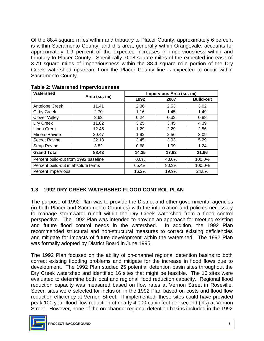Of the 88.4 square miles within and tributary to Placer County, approximately 6 percent is within Sacramento County, and this area, generally within Orangevale, accounts for approximately 1.9 percent of the expected increases in imperviousness within and tributary to Placer County. Specifically, 0.08 square miles of the expected increase of 3.79 square miles of imperviousness within the 88.4 square mile portion of the Dry Creek watershed upstream from the Placer County line is expected to occur within Sacramento County.

| Watershed                            |               | Impervious Area (sq. mi) |       |                  |  |
|--------------------------------------|---------------|--------------------------|-------|------------------|--|
|                                      | Area (sq. mi) | 1992                     | 2007  | <b>Build-out</b> |  |
| Antelope Creek                       | 11.41         | 2.36                     | 2.53  | 3.02             |  |
| <b>Cirby Creek</b>                   | 2.70          | 1.16                     | 1.45  | 1.49             |  |
| <b>Clover Valley</b>                 | 3.63          | 0.24                     | 0.33  | 0.88             |  |
| Dry Creek                            | 11.82         | 3.25                     | 3.45  | 4.39             |  |
| Linda Creek                          | 12.45         | 1.29                     | 2.29  | 2.56             |  |
| Miners Ravine                        | 20.47         | 1.92                     | 2.56  | 3.09             |  |
| <b>Secret Ravine</b>                 | 22.13         | 3.45                     | 3.93  | 5.29             |  |
| Strap Ravine                         | 3.82          | 0.68                     | 1.09  | 1.24             |  |
| <b>Grand Total</b>                   | 88.43         | 14.35                    | 17.63 | 21.96            |  |
| Percent build-out from 1992 baseline |               | 0.0%                     | 43.0% | 100.0%           |  |
| Percent build-out in absolute terms  |               | 65.4%                    | 80.3% | 100.0%           |  |
| Percent impervious                   |               | 16.2%                    | 19.9% | 24.8%            |  |

**Table 2: Watershed Imperviousness** 

## **1.3 1992 DRY CREEK WATERSHED FLOOD CONTROL PLAN**

 The purpose of 1992 Plan was to provide the District and other governmental agencies (in both Placer and Sacramento Counties) with the information and policies necessary to manage stormwater runoff within the Dry Creek watershed from a flood control and future flood control needs in the watershed. In addition, the 1992 Plan recommended structural and non-structural measures to correct existing deficiencies and mitigate for impacts of future development within the watershed. The 1992 Plan was formally adopted by District Board in June 1995. perspective. The 1992 Plan was intended to provide an approach for meeting existing

 The 1992 Plan focused on the ability of on-channel regional detention basins to both correct existing flooding problems and mitigate for the increase in flood flows due to Dry Creek watershed and identified 16 sites that might be feasible. The 16 sites were evaluated to determine both local and regional flood reduction capacity. Regional flood reduction capacity was measured based on flow rates at Vernon Street in Roseville. Seven sites were selected for inclusion in the 1992 Plan based on costs and flood flow reduction efficiency at Vernon Street. If implemented, these sites could have provided peak 100 year flood flow reduction of nearly 4,000 cubic feet per second (cfs) at Vernon Street. However, none of the on-channel regional detention basins included in the 1992 development. The 1992 Plan studied 25 potential detention basin sites throughout the

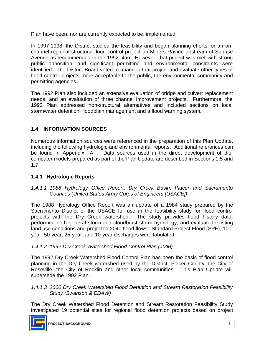Plan have been, nor are currently expected to be, implemented.

 In 1997-1998, the District studied the feasibility and began planning efforts for an on- channel regional structural flood control project on Miners Ravine upstream of Sunrise identified. The District Board voted to abandon that project and evaluate other types of flood control projects more acceptable to the public, the environmental community and Avenue as recommended in the 1992 plan. However, that project was met with strong public opposition, and significant permitting and environmental constraints were permitting agencies.

 The 1992 Plan also included an extensive evaluation of bridge and culvert replacement needs, and an evaluation of three channel improvement projects. Furthermore, the 1992 Plan addressed non-structural alternatives and included sections on local stormwater detention, floodplain management and a flood warning system.

## **1.4 INFORMATION SOURCES**

 Numerous information sources were referenced in the preparation of this Plan Update, including the following hydrologic and environmental reports. Additional references can be found in Appendix A. Data sources used in the direct development of the computer models prepared as part of the Plan Update are described in Sections 1.5 and 1.7.

### **1.4.1 Hydrologic Reports**

 *1.4.1.1 1988 Hydrology Office Report, Dry Creek Basin, Placer and Sacramento Counties (United States Army Corps of Engineers [USACE])* 

 The 1988 Hydrology Office Report was an update of a 1984 study prepared by the Sacramento District of the USACE for use in the feasibility study for flood control projects with the Dry Creek watershed. The study provides flood history data, performed both general storm and cloudburst storm hydrology, and evaluated existing land use conditions and projected 2040 flood flows. Standard Project Flood (SPF), 100 year, 50-year, 25-year, and 10-year discharges were tabulated.

### *1.4.1.2 1992 Dry Creek Watershed Flood Control Plan (JMM)*

 The 1992 Dry Creek Watershed Flood Control Plan has been the basis of flood control planning in the Dry Creek watershed used by the District, Placer County, the City of Roseville, the City of Rocklin and other local communities. This Plan Update will supersede the 1992 Plan.

### *1.4.1.3 2000 Dry Creek Watershed Flood Detention and Stream Restoration Feasibility Study (Swanson & EDAW)*

 The Dry Creek Watershed Flood Detention and Stream Restoration Feasibility Study investigated 19 potential sites for regional flood detention projects based on project

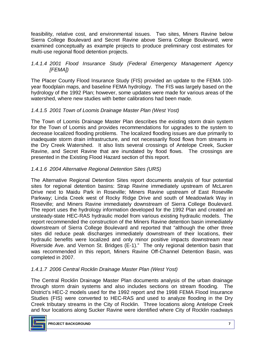feasibility, relative cost, and environmental issues. Two sites, Miners Ravine below Sierra College Boulevard and Secret Ravine above Sierra College Boulevard, were examined conceptually as example projects to produce preliminary cost estimates for multi-use regional flood detention projects.

## *1.4.1.4 2001 Flood Insurance Study (Federal Emergency Management Agency [FEMA])*

 The Placer County Flood Insurance Study (FIS) provided an update to the FEMA 100 year floodplain maps, and baseline FEMA hydrology. The FIS was largely based on the hydrology of the 1992 Plan; however, some updates were made for various areas of the watershed, where new studies with better calibrations had been made.

## *1.4.1.5 2001 Town of Loomis Drainage Master Plan (West Yost)*

 The Town of Loomis Drainage Master Plan describes the existing storm drain system for the Town of Loomis and provides recommendations for upgrades to the system to inadequate storm drain infrastructure, and not necessarily flood flows from streams in the Dry Creek Watershed. It also lists several crossings of Antelope Creek, Sucker Ravine, and Secret Ravine that are inundated by flood flows. The crossings are decrease localized flooding problems. The localized flooding issues are due primarily to presented in the Existing Flood Hazard section of this report.

### *1.4.1.6 2004 Alternative Regional Detention Sites (URS)*

 The Alternative Regional Detention Sites report documents analysis of four potential sites for regional detention basins: Strap Ravine immediately upstream of McLaren Drive next to Maidu Park in Roseville; Miners Ravine upstream of East Roseville Parkway; Linda Creek west of Rocky Ridge Drive and south of Meadowlark Way in Roseville; and Miners Ravine immediately downstream of Sierra College Boulevard. The report uses the hydrology information developed for the 1992 Plan and created an unsteady-state HEC-RAS hydraulic model from various existing hydraulic models. The report recommended the construction of the Miners Ravine detention basin immediately downstream of Sierra College Boulevard and reported that "although the other three sites did reduce peak discharges immediately downstream of their locations, their hydraulic benefits were localized and only minor positive impacts downstream near Riverside Ave. and Vernon St. Bridges (E-1)." The only regional detention basin that was recommended in this report, Miners Ravine Off-Channel Detention Basin, was completed in 2007.

## *1.4.1.7 2006 Central Rocklin Drainage Master Plan (West Yost)*

 The Central Rocklin Drainage Master Plan documents analysis of the urban drainage through storm drain systems and also includes sections on stream flooding. The District's HEC-2 models used for the 1992 report and the 1998 FEMA Flood Insurance Studies (FIS) were converted to HEC-RAS and used to analyze flooding in the Dry Creek tributary streams in the City of Rocklin. Three locations along Antelope Creek and four locations along Sucker Ravine were identified where City of Rocklin roadways

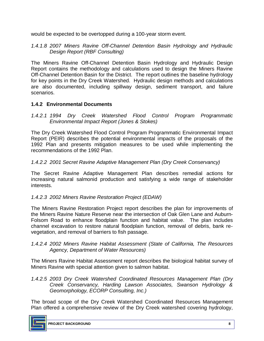would be expected to be overtopped during a 100-year storm event.

 *1.4.1.8 2007 Miners Ravine Off-Channel Detention Basin Hydrology and Hydraulic Design Report (RBF Consulting)* 

 The Miners Ravine Off-Channel Detention Basin Hydrology and Hydraulic Design Report contains the methodology and calculations used to design the Miners Ravine Off-Channel Detention Basin for the District. The report outlines the baseline hydrology for key points in the Dry Creek Watershed. Hydraulic design methods and calculations are also documented, including spillway design, sediment transport, and failure scenarios.

### **1.4.2 Environmental Documents**

 *1.4.2.1 1994 Dry Creek Watershed Flood Control Program Programmatic Environmental Impact Report (Jones & Stokes)* 

 The Dry Creek Watershed Flood Control Program Programmatic Environmental Impact Report (PEIR) describes the potential environmental impacts of the proposals of the recommendations of the 1992 Plan. 1992 Plan and presents mitigation measures to be used while implementing the

*1.4.2.2 2001 Secret Ravine Adaptive Management Plan (Dry Creek Conservancy)* 

 The Secret Ravine Adaptive Management Plan describes remedial actions for increasing natural salmonid production and satisfying a wide range of stakeholder interests.

### *1.4.2.3 2002 Miners Ravine Restoration Project (EDAW)*

 The Miners Ravine Restoration Project report describes the plan for improvements of the Miners Ravine Nature Reserve near the intersection of Oak Glen Lane and Auburn- Folsom Road to enhance floodplain function and habitat value. The plan includes channel excavation to restore natural floodplain function, removal of debris, bank re-vegetation, and removal of barriers to fish passage.

### *Agency, Department of Water Resources) 1.4.2.4 2002 Miners Ravine Habitat Assessment (State of California, The Resources*

 The Miners Ravine Habitat Assessment report describes the biological habitat survey of Miners Ravine with special attention given to salmon habitat.

 *1.4.2.5 2003 Dry Creek Watershed Coordinated Resources Management Plan (Dry Creek Conservancy, Harding Lawson Associates, Swanson Hydrology & Geomorphology, ECORP Consulting, Inc.)* 

 The broad scope of the Dry Creek Watershed Coordinated Resources Management Plan offered a comprehensive review of the Dry Creek watershed covering hydrology,

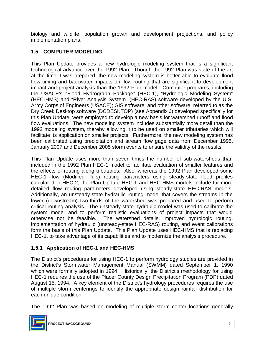implementation plans. biology and wildlife, population growth and development projections, and policy

# **1.5 COMPUTER MODELING**

 This Plan Update provides a new hydrologic modeling system that is a significant at the time it was prepared, the new modeling system is better able to evaluate flood flow timing and backwater impacts on flow routing that are significant to development impact and project analysis than the 1992 Plan model. Computer programs, including (HEC-HMS) and "River Analysis System" (HEC-RAS) software developed by the U.S. Army Corps of Engineers (USACE); GIS software; and other software, referred to as the Dry Creek Desktop software (DCDESKTOP) (see Appendix J) developed specifically for this Plan Update, were employed to develop a new basis for watershed runoff and flood flow evaluations. The new modeling system includes substantially more detail than the 1992 modeling system, thereby allowing it to be used on smaller tributaries which will facilitate its application on smaller projects. Furthermore, the new modeling system has been calibrated using precipitation and stream flow gage data from December 1995, January 2007 and December 2005 storm events to ensure the validity of the results. technological advance over the 1992 Plan. Though the 1992 Plan was state-of-the-art the USACE's "Flood Hydrograph Package" (HEC-1), "Hydrologic Modeling System"

 This Plan Update uses more than seven times the number of sub-watersheds than included in the 1992 Plan HEC-1 model to facilitate evaluation of smaller features and the effects of routing along tributaries. Also, whereas the 1992 Plan developed some HEC-1 flow (Modified Puls) routing parameters using steady-state flood profiles calculated in HEC-2, the Plan Update HEC-1 and HEC-HMS models include far more detailed flow routing parameters developed using steady-state HEC-RAS models. Additionally, an unsteady-state hydraulic routing model that covers the streams in the lower (downstream) two-thirds of the watershed was prepared and used to perform critical routing analysis. The unsteady-state hydraulic model was used to calibrate the system model and to perform realistic evaluations of project impacts that would otherwise not be feasible. The watershed details, improved hydrologic routing, implementation of hydraulic (unsteady-state HEC-RAS) routing, and event calibrations form the basis of this Plan Update. This Plan Update uses HEC-HMS that is replacing HEC-1, to take advantage of its capabilities and to modernize the analysis procedure.

## **1.5.1 Application of HEC-1 and HEC-HMS**

 The District's procedures for using HEC-1 to perform hydrology studies are provided in the District's Stormwater Management Manual (SWMM) dated September 1, 1990 which were formally adopted in 1994. Historically, the District's methodology for using HEC-1 requires the use of the Placer County Design Precipitation Program (PDP) dated August 15, 1994. A key element of the District's hydrology procedures requires the use of multiple storm centerings to identify the appropriate design rainfall distribution for each unique condition.

The 1992 Plan was based on modeling of multiple storm center locations generally

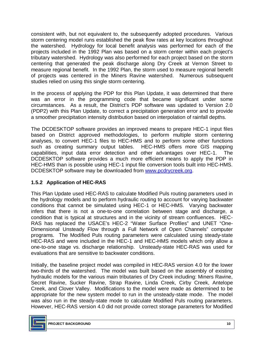consistent with, but not equivalent to, the subsequently adopted procedures. Various storm centering model runs established the peak flow rates at key locations throughout the watershed. Hydrology for local benefit analysis was performed for each of the projects included in the 1992 Plan was based on a storm center within each project's centering that generated the peak discharge along Dry Creek at Vernon Street to measure regional benefit. In the 1992 Plan, the storm used to measure regional benefit of projects was centered in the Miners Ravine watershed. Numerous subsequent studies relied on using this single storm centering. tributary watershed. Hydrology was also performed for each project based on the storm

 In the process of applying the PDP for this Plan Update, it was determined that there was an error in the programming code that became significant under some circumstances. As a result, the District's PDP software was updated to Version 2.0 (PDP2) with this Plan Update, to correct a precipitation generation error and to provide a smoother precipitation intensity distribution based on interpolation of rainfall depths.

 based on District approved methodologies, to perform multiple storm centering analyses, to convert HEC-1 files to HEC-HMS and to perform some other functions such as creating summary output tables. HEC-HMS offers more GIS mapping capabilities, input data error detection and other advantages over HEC-1. The DCDESKTOP software provides a much more efficient means to apply the PDP in HEC-HMS than is possible using HEC-1 input file conversion tools built into HEC-HMS. DCDESKTOP software may be downloaded from [www.pcdrycreek.org.](http://www.pcdrycreek.org/) The DCDESKTOP software provides an improved means to prepare HEC-1 input files

## **1.5.2 Application of HEC-RAS**

 This Plan Update used HEC-RAS to calculate Modified Puls routing parameters used in the hydrology models and to perform hydraulic routing to account for varying backwater conditions that cannot be simulated using HEC-1 or HEC-HMS. Varying backwater infers that there is not a one-to-one correlation between stage and discharge, a condition that is typical at structures and in the vicinity of stream confluences. HEC- RAS has replaced the USACE's HEC-2 "Water Surface Profiles" and UNET "One- Dimensional Unsteady Flow through a Full Network of Open Channels" computer programs. The Modified Puls routing parameters were calculated using steady-state HEC-RAS and were included in the HEC-1 and HEC-HMS models which only allow a one-to-one stage vs. discharge relationship. Unsteady-state HEC-RAS was used for evaluations that are sensitive to backwater conditions.

 Initially, the baseline project model was compiled in HEC-RAS version 4.0 for the lower two-thirds of the watershed. The model was built based on the assembly of existing hydraulic models for the various main tributaries of Dry Creek including: Miners Ravine, Secret Ravine, Sucker Ravine, Strap Ravine, Linda Creek, Cirby Creek, Antelope Creek, and Clover Valley. Modifications to the model were made as determined to be appropriate for the new system model to run in the unsteady-state mode. The model was also run in the steady-state mode to calculate Modified Puls routing parameters. However, HEC-RAS version 4.0 did not provide correct storage parameters for Modified

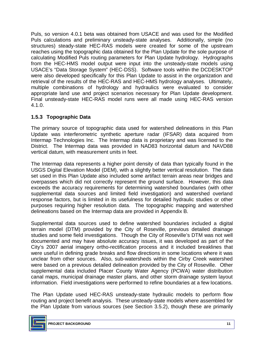Puls, so version 4.0.1 beta was obtained from USACE and was used for the Modified Puls calculations and preliminary unsteady-state analyses. Additionally, simple (no structures) steady-state HEC-RAS models were created for some of the upstream reaches using the topographic data obtained for the Plan Update for the sole purpose of calculating Modified Puls routing parameters for Plan Update hydrology. Hydrographs from the HEC-HMS model output were input into the unsteady-state models using USACE's "Data Storage System" (HEC-DSS). Software tools within the DCDESKTOP were also developed specifically for this Plan Update to assist in the organization and retrieval of the results of the HEC-RAS and HEC-HMS hydrology analyses. Ultimately, multiple combinations of hydrology and hydraulics were evaluated to consider appropriate land use and project scenarios necessary for Plan Update development. Final unsteady-state HEC-RAS model runs were all made using HEC-RAS version 4.1.0.

## **1.5.3 Topographic Data**

 The primary source of topographic data used for watershed delineations in this Plan Update was interferometric synthetic aperture radar (IFSAR) data acquired from Intermap Technologies Inc. The Intermap data is proprietary and was licensed to the District. The Intermap data was provided in NAD83 horizontal datum and NAVD88 vertical datum, with measurement units in feet.

 The Intermap data represents a higher point density of data than typically found in the USGS Digital Elevation Model (DEM), with a slightly better vertical resolution. The data set used in this Plan Update also included some artifact terrain areas near bridges and overpasses which did not correctly represent the ground surface. However, this data exceeds the accuracy requirements for determining watershed boundaries (with other supplemental data sources and limited field investigation) and watershed overland response factors, but is limited in its usefulness for detailed hydraulic studies or other purposes requiring higher resolution data. The topographic mapping and watershed delineations based on the Intermap data are provided in Appendix B.

 Supplemental data sources used to define watershed boundaries included a digital terrain model (DTM) provided by the City of Roseville, previous detailed drainage studies and some field investigations. Though the City of Roseville's DTM was not well documented and may have absolute accuracy issues, it was developed as part of the City's 2007 aerial imagery ortho-rectification process and it included breaklines that were useful in defining grade breaks and flow directions in some locations where it was unclear from other sources. Also, sub-watersheds within the Cirby Creek watershed were based on a previous detailed delineation provided by the City of Roseville. Other supplemental data included Placer County Water Agency (PCWA) water distribution canal maps, municipal drainage master plans, and other storm drainage system layout information. Field investigations were performed to refine boundaries at a few locations.

 The Plan Update used HEC-RAS unsteady-state hydraulic models to perform flow routing and project benefit analysis. These unsteady-state models where assembled for the Plan Update from various sources (see Section 3.5.2), though these are primarily

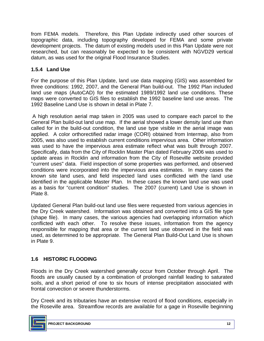from FEMA models. Therefore, this Plan Update indirectly used other sources of topographic data, including topography developed for FEMA and some private development projects. The datum of existing models used in this Plan Update were not researched, but can reasonably be expected to be consistent with NGVD29 vertical datum, as was used for the original Flood Insurance Studies.

# **1.5.4 Land Use**

 For the purpose of this Plan Update, land use data mapping (GIS) was assembled for three conditions: 1992, 2007, and the General Plan build-out. The 1992 Plan included land use maps (AutoCAD) for the estimated 1989/1992 land use conditions. These maps were converted to GIS files to establish the 1992 baseline land use areas. The 1992 Baseline Land Use is shown in detail in Plate 7.

 A high resolution aerial map taken in 2005 was used to compare each parcel to the General Plan build-out land use map. If the aerial showed a lower density land use than called for in the build-out condition, the land use type visible in the aerial image was applied. A color orthorectified radar image (CORI) obtained from Intermap, also from 2005, was also used to establish current conditions impervious area. Other information was used to have the impervious area estimate reflect what was built through 2007. Specifically, data from the City of Rocklin Master Plan dated February 2006 was used to update areas in Rocklin and information from the City of Roseville website provided "current uses" data. Field inspection of some properties was performed, and observed conditions were incorporated into the impervious area estimates. In many cases the known site land uses, and field inspected land uses conflicted with the land use identified in the applicable Master Plan. In these cases the known land use was used as a basis for "current condition" studies. The 2007 (current) Land Use is shown in Plate 8.

 Updated General Plan build-out land use files were requested from various agencies in the Dry Creek watershed. Information was obtained and converted into a GIS file type (shape file). In many cases, the various agencies had overlapping information which conflicted with each other. To resolve these issues, information from the agency responsible for mapping that area or the current land use observed in the field was used, as determined to be appropriate. The General Plan Build-Out Land Use is shown in Plate 9.

# **1.6 HISTORIC FLOODING**

 Floods in the Dry Creek watershed generally occur from October through April. The floods are usually caused by a combination of prolonged rainfall leading to saturated soils, and a short period of one to six hours of intense precipitation associated with frontal convection or severe thunderstorms.

 Dry Creek and its tributaries have an extensive record of flood conditions, especially in the Roseville area. Streamflow records are available for a gage in Roseville beginning

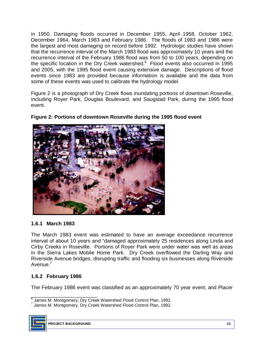in 1950. Damaging floods occurred in December 1955, April 1958, October 1962, December 1964, March 1983 and February 1986. The floods of 1983 and 1986 were the largest and most damaging on record before 1992. Hydrologic studies have shown recurrence interval of the February 1986 flood was from 50 to 100 years, depending on the specific location in the Dry Creek watershed. $6$  Flood events also occurred in 1995 and 2005, with the 1995 flood event causing extensive damage. Descriptions of flood some of these events was used to calibrate the hydrology model. that the recurrence interval of the March 1983 flood was approximately 10 years and the events since 1983 are provided because information is available and the data from

 Figure 2 is a photograph of Dry Creek flows inundating portions of downtown Roseville, including Royer Park, Douglas Boulevard, and Saugstad Park, during the 1995 flood event.



## **Figure 2: Portions of downtown Roseville during the 1995 flood event**

### **1.6.1 March 1983**

 The March 1983 event was estimated to have an average exceedance recurrence interval of about 10 years and "damaged approximately 25 residences along Linda and Cirby Creeks in Roseville. Portions of Royer Park were under water was well as areas in the Sierra Lakes Mobile Home Park. Dry Creek overflowed the Darling Way and Riverside Avenue bridges, disrupting traffic and flooding six businesses along Riverside Avenue.<sup>7</sup>

## **1.6.2 February 1986**

The February 1986 event was classified as an approximately 70 year event, and Placer

 $7$  James M. Montgomery, Dry Creek Watershed Flood Control Plan, 1992.



\_\_\_\_\_\_\_\_\_\_\_\_\_\_\_\_\_\_\_\_\_\_\_  $^6$  James M. Montgomery, Dry Creek Watershed Flood Control Plan, 1992.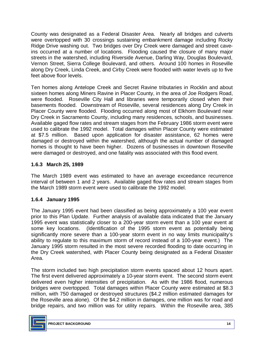County was designated as a Federal Disaster Area. Nearly all bridges and culverts were overtopped with 30 crossings sustaining embankment damage including Rocky Ridge Drive washing out. Two bridges over Dry Creek were damaged and street cave- ins occurred at a number of locations. Flooding caused the closure of many major streets in the watershed, including Riverside Avenue, Darling Way, Douglas Boulevard, Vernon Street, Sierra College Boulevard, and others. Around 100 homes in Roseville along Dry Creek, Linda Creek, and Cirby Creek were flooded with water levels up to five feet above floor levels.

 Ten homes along Antelope Creek and Secret Ravine tributaries in Rocklin and about sixteen homes along Miners Ravine in Placer County, in the area of Joe Rodgers Road, were flooded. Roseville City Hall and libraries were temporarily closed when their basements flooded. Downstream of Roseville, several residences along Dry Creek in Placer County were flooded. Flooding occurred along most of Elkhorn Boulevard near Dry Creek in Sacramento County, including many residences, schools, and businesses. Available gaged flow rates and stream stages from the February 1986 storm event were used to calibrate the 1992 model. Total damages within Placer County were estimated at \$7.5 million. Based upon application for disaster assistance, 62 homes were damaged or destroyed within the watershed, although the actual number of damaged homes is thought to have been higher. Dozens of businesses in downtown Roseville were damaged or destroyed, and one fatality was associated with this flood event.

## **1.6.3 March 25, 1989**

 The March 1989 event was estimated to have an average exceedance recurrence interval of between 1 and 2 years. Available gaged flow rates and stream stages from the March 1989 storm event were used to calibrate the 1992 model.

### **1.6.4 January 1995**

 The January 1995 event had been classified as being approximately a 100 year event prior to this Plan Update. Further analysis of available data indicated that the January 1995 event was statistically closer to a 200-year storm event than a 100 year event at some key locations. (Identification of the 1995 storm event as potentially being significantly more severe than a 100-year storm event in no way limits municipality's ability to regulate to this maximum storm of record instead of a 100-year event.) The January 1995 storm resulted in the most severe recorded flooding to date occurring in the Dry Creek watershed, with Placer County being designated as a Federal Disaster Area.

Area.<br>The storm included two high precipitation storm events spaced about 12 hours apart. The first event delivered approximately a 10-year storm event. The second storm event delivered even higher intensities of precipitation. As with the 1986 flood, numerous bridges were overtopped. Total damages within Placer County were estimated at \$8.3 million, with 750 damaged or destroyed structures (\$4.2 million estimated damages for the Roseville area alone). Of the \$4.2 million in damages, one million was for road and bridge repairs, and two million was for utility repairs. Within the Roseville area, 385

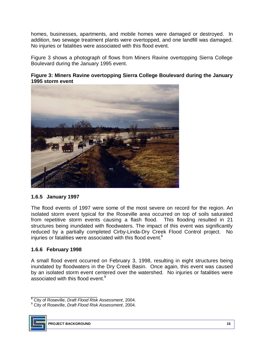homes, businesses, apartments, and mobile homes were damaged or destroyed. In addition, two sewage treatment plants were overtopped, and one landfill was damaged. No injuries or fatalities were associated with this flood event.

 Figure 3 shows a photograph of flows from Miners Ravine overtopping Sierra College Boulevard during the January 1995 event.

### **Figure 3: Miners Ravine overtopping Sierra College Boulevard during the January 1995 storm event**



### **1.6.5 January 1997**

 The flood events of 1997 were some of the most severe on record for the region. An isolated storm event typical for the Roseville area occurred on top of soils saturated from repetitive storm events causing a flash flood. This flooding resulted in 21 structures being inundated with floodwaters. The impact of this event was significantly reduced by a partially completed Cirby-Linda-Dry Creek Flood Control project. No injuries or fatalities were associated with this flood event.<sup>8</sup>

### **1.6.6 February 1998**

 A small flood event occurred on February 3, 1998, resulting in eight structures being inundated by floodwaters in the Dry Creek Basin. Once again, this event was caused by an isolated storm event centered over the watershed. No injuries or fatalities were associated with this flood event.<sup>9</sup>

 9 City of Roseville, *Draft Flood Risk Assessment*, 2004.



 $\frac{1}{2}$  . The set of the set of the set of the set of the set of the set of the set of the set of the set of the set of the set of the set of the set of the set of the set of the set of the set of the set of the set of 8 City of Roseville, *Draft Flood Risk Assessment*, 2004.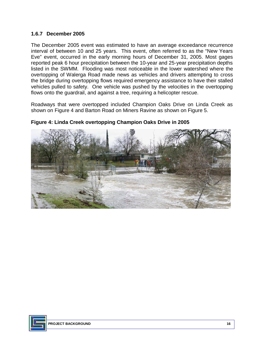### **1.6.7 December 2005**

 The December 2005 event was estimated to have an average exceedance recurrence interval of between 10 and 25 years. This event, often referred to as the "New Years Eve" event, occurred in the early morning hours of December 31, 2005. Most gages reported peak 6 hour precipitation between the 10-year and 25-year precipitation depths listed in the SWMM. Flooding was most noticeable in the lower watershed where the overtopping of Walerga Road made news as vehicles and drivers attempting to cross the bridge during overtopping flows required emergency assistance to have their stalled vehicles pulled to safety. One vehicle was pushed by the velocities in the overtopping flows onto the guardrail, and against a tree, requiring a helicopter rescue.

 Roadways that were overtopped included Champion Oaks Drive on Linda Creek as shown on Figure 4 and Barton Road on Miners Ravine as shown on Figure 5.



#### **Figure 4: Linda Creek overtopping Champion Oaks Drive in 2005**

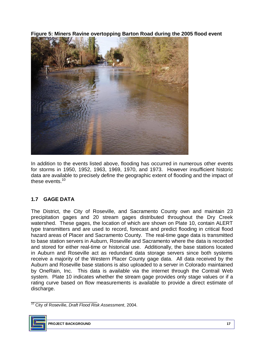**Figure 5: Miners Ravine overtopping Barton Road during the 2005 flood event** 



 In addition to the events listed above, flooding has occurred in numerous other events for storms in 1950, 1952, 1963, 1969, 1970, and 1973. However insufficient historic data are available to precisely define the geographic extent of flooding and the impact of these events  $10$ 

## **1.7 GAGE DATA**

 The District, the City of Roseville, and Sacramento County own and maintain 23 precipitation gages and 20 stream gages distributed throughout the Dry Creek type transmitters and are used to record, forecast and predict flooding in critical flood hazard areas of Placer and Sacramento County. The real-time gage data is transmitted and stored for either real-time or historical use. Additionally, the base stations located in Auburn and Roseville act as redundant data storage servers since both systems receive a majority of the Western Placer County gage data. All data received by the Auburn and Roseville base stations is also uploaded to a server in Colorado maintained by OneRain, Inc. This data is available via the internet through the Contrail Web system. Plate 10 indicates whether the stream gage provides only stage values or if a rating curve based on flow measurements is available to provide a direct estimate of watershed. These gages, the location of which are shown on Plate 10, contain ALERT to base station servers in Auburn, Roseville and Sacramento where the data is recorded discharge.

\_\_\_\_\_\_\_\_\_\_\_\_\_\_\_\_\_\_\_\_\_\_\_ 10 City of Roseville, *Draft Flood Risk Assessment*, 2004.

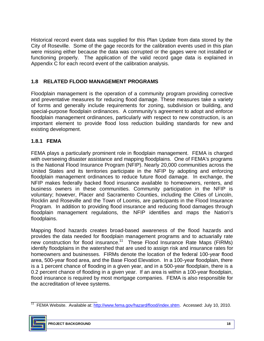Historical record event data was supplied for this Plan Update from data stored by the City of Roseville. Some of the gage records for the calibration events used in this plan were missing either because the data was corrupted or the gages were not installed or functioning properly. The application of the valid record gage data is explained in Appendix C for each record event of the calibration analysis.

## **1.8 RELATED FLOOD MANAGEMENT PROGRAMS**

 Floodplain management is the operation of a community program providing corrective and preventative measures for reducing flood damage. These measures take a variety of forms and generally include requirements for zoning, subdivision or building, and special-purpose floodplain ordinances. A community's agreement to adopt and enforce floodplain management ordinances, particularly with respect to new construction, is an important element to provide flood loss reduction building standards for new and existing development.

## **1.8.1 FEMA**

 FEMA plays a particularly prominent role in floodplain management. FEMA is charged with overseeing disaster assistance and mapping floodplains. One of FEMA's programs is the National Flood Insurance Program (NFIP). Nearly 20,000 communities across the United States and its territories participate in the NFIP by adopting and enforcing NFIP makes federally backed flood insurance available to homeowners, renters, and business owners in these communities. Community participation in the NFIP is voluntary; however, Placer and Sacramento Counties, including the Cities of Lincoln, Rocklin and Roseville and the Town of Loomis, are participants in the Flood Insurance Program. In addition to providing flood insurance and reducing flood damages through floodplain management regulations, the NFIP identifies and maps the Nation's floodplain management ordinances to reduce future flood damage. In exchange, the floodplains.

 Mapping flood hazards creates broad-based awareness of the flood hazards and provides the data needed for floodplain management programs and to actuarially rate new construction for flood insurance.<sup>11</sup> These Flood Insurance Rate Maps (FIRMs) identify floodplains in the watershed that are used to assign risk and insurance rates for homeowners and businesses. FIRMs denote the location of the federal 100-year flood area, 500-year flood area, and the Base Flood Elevation. In a 100-year floodplain, there is a 1 percent chance of flooding in a given year, and in a 500-year floodplain, there is a 0.2 percent chance of flooding in a given year. If an area is within a 100-year floodplain, flood insurance is required by most mortgage companies. FEMA is also responsible for the accreditation of levee systems.

\_\_\_\_\_\_\_\_\_\_\_\_\_\_\_\_\_\_\_\_\_\_\_ <sup>11</sup> FEMA Website. Available at: http://www.fema.gov/hazard/flood/index.shtm. Accessed: July 10, 2010.

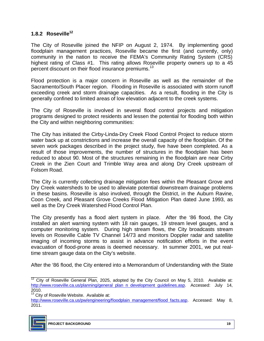### **1.8.2 Roseville<sup>12</sup>**

 The City of Roseville joined the NFIP on August 2, 1974. By implementing good floodplain management practices, Roseville became the first (and currently, only) community in the nation to receive the FEMA's Community Rating System (CRS) highest rating of Class #1. This rating allows Roseville property owners up to a 45 percent discount on their flood insurance premiums.<sup>13</sup>

 Flood protection is a major concern in Roseville as well as the remainder of the Sacramento/South Placer region. Flooding in Roseville is associated with storm runoff exceeding creek and storm drainage capacities. As a result, flooding in the City is generally confined to limited areas of low elevation adjacent to the creek systems.

 The City of Roseville is involved in several flood control projects and mitigation programs designed to protect residents and lessen the potential for flooding both within the City and within neighboring communities:

 The City has initiated the Cirby-Linda-Dry Creek Flood Control Project to reduce storm water back up at constrictions and increase the overall capacity of the floodplain. Of the seven work packages described in the project study, five have been completed. As a result of those improvements, the number of structures in the floodplain has been reduced to about 90. Most of the structures remaining in the floodplain are near Cirby Creek in the Zien Court and Trimble Way area and along Dry Creek upstream of Folsom Road.

 The City is currently collecting drainage mitigation fees within the Pleasant Grove and Dry Creek watersheds to be used to alleviate potential downstream drainage problems in these basins. Roseville is also involved, through the District, in the Auburn Ravine, Coon Creek, and Pleasant Grove Creeks Flood Mitigation Plan dated June 1993, as well as the Dry Creek Watershed Flood Control Plan.

 The City presently has a flood alert system in place. After the '86 flood, the City installed an alert warning system with 18 rain gauges, 19 stream level gauges, and a computer monitoring system. During high stream flows, the City broadcasts stream levels on Roseville Cable TV Channel 14/73 and monitors Doppler radar and satellite imaging of incoming storms to assist in advance notification efforts in the event evacuation of flood-prone areas is deemed necessary. In summer 2001, we put realtime stream gauge data on the City's website.

After the '86 flood, the City entered into a Memorandum of Understanding with the State

 $\frac{1}{2}$  , and the set of the set of the set of the set of the set of the set of the set of the set of the set of the set of the set of the set of the set of the set of the set of the set of the set of the set of the set

http://www.roseville.ca.us/pw/engineering/floodplain management/flood facts.asp. Accessed: May 8, 2011.



 $12$  City of Roseville General Plan, 2025, adopted by the City Council on May 5, 2010. Available at: http://www.roseville.ca.us/planning/general plan n development guidelines.asp. Accessed: July 14,

<sup>2010.&</sup>lt;br><sup>13</sup> City of Roseville Website. Available at: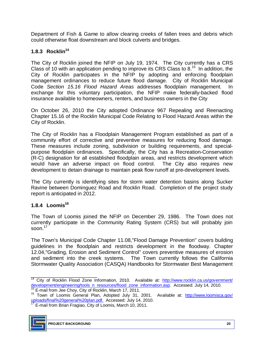Department of Fish & Game to allow clearing creeks of fallen trees and debris which could otherwise float downstream and block culverts and bridges.

## 1.8.3 Rocklin<sup>14</sup>

 The City of Rocklin joined the NFIP on July 19, 1974. The City currently has a CRS Class of 10 with an application pending to improve its CRS Class to  $8.15$  In addition, the City of Rocklin participates in the NFIP by adopting and enforcing floodplain management ordinances to reduce future flood damage. City of Rocklin Municipal  Code *[Section 15.16 Flood Hazard Areas](http://library2.municode.com/default-test/template.htm?view=browse&doc_action=setdoc&doc_keytype=tocid&doc_key=b9eb810f081945c02d58e5a2e913f105&infobase=16050)* addresses floodplain management. In exchange for this voluntary participation, the NFIP make federally-backed flood insurance available to homeowners, renters, and business owners in the City

 On October 26, 2010 the City adopted Ordinance 967 Repealing and Reenacting Chapter 15.16 of the Rocklin Municipal Code Relating to Flood Hazard Areas within the City of Rocklin.

 The City of Rocklin has a Floodplain Management Program established as part of a community effort of corrective and preventive measures for reducing flood damage. These measures include zoning, subdivision or building requirements, and special- purpose floodplain ordinances. Specifically, the City has a Recreation-Conservation (R-C) designation for all established floodplain areas, and restricts development which would have an adverse impact on flood control. The City also requires new development to detain drainage to maintain peak flow runoff at pre-development levels.

 The City currently is identifying sites for storm water detention basins along Sucker Ravine between Dominguez Road and Rocklin Road. Completion of the project study report is anticipated in 2012.

## 1.8.4 Loomis<sup>16</sup>

 The Town of Loomis joined the NFIP on December 29, 1986. The Town does not currently participate in the Community Rating System (CRS) but will probably join soon.<sup>17</sup>

 The Town's Municipal Code Chapter 11.08,"Flood Damage Prevention" covers building 12.04,"Grading, Erosion and Sediment Control" covers preventive measures of erosion and sediment into the creek systems. The Town currently follows the California Stormwater Quality Association (CASQA) Handbooks for Stormwater Best Management guidelines in the floodplain and restricts development in the floodway. Chapter

<sup>&</sup>lt;u>uploads/final%20general%20plan.pdf.</u> Accessed: July 14, 2010.<br><sup>17</sup> E-mail from Brian Fragiao, City of Loomis, March 10, 2011.



\_\_\_\_\_\_\_\_\_\_\_\_\_\_\_\_\_\_\_\_\_\_\_

E-mail from Jee Choy, City of Rocklin, March 17, 2011. <sup>14</sup> City of Rocklin Flood Zone Information, 2010. Available at: http://www.rocklin.ca.us/government/ development/engineering/tools n resources/flood zone information.asp. Accessed: July 14, 2010.<br><sup>15</sup> E-mail from Jee Choy, City of Rocklin, March 17, 2011.

uploads/final%20general%20plan.pdf. Accessed: July 14, 2010. <sup>1s</sup> E-mail from Jee Choy, City of Rocklin, March 17, 2011.<br><sup>16</sup> Town of Loomis General Plan, Adopted July 31, 2001. Available at: <u>http://www.loomisca.gov/</u>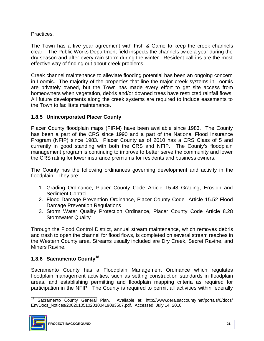## Practices.

 The Town has a five year agreement with Fish & Game to keep the creek channels clear. The Public Works Department field inspects the channels twice a year during the dry season and after every rain storm during the winter. Resident call-ins are the most effective way of finding out about creek problems.

 Creek channel maintenance to alleviate flooding potential has been an ongoing concern in Loomis. The majority of the properties that line the major creek systems in Loomis are privately owned, but the Town has made every effort to get site access from homeowners when vegetation, debris and/or downed trees have restricted rainfall flows. All future developments along the creek systems are required to include easements to the Town to facilitate maintenance.

## **1.8.5 Unincorporated Placer County**

 Placer County floodplain maps (FIRM) have been available since 1983. The County has been a part of the CRS since 1990 and a part of the National Flood Insurance Program (NFIP) since 1983. Placer County as of 2010 has a CRS Class of 5 and currently in good standing with both the CRS and NFIP. The County's floodplain management program is continuing to improve to better serve the community and lower the CRS rating for lower insurance premiums for residents and business owners.

 The County has the following ordinances governing development and activity in the floodplain. They are:

- 1. Grading Ordinance, Placer County Code Article 15.48 Grading, Erosion and Sediment Control
- 2. Flood Damage Prevention Ordinance, Placer County Code Article 15.52 Flood Damage Prevention Regulations
- 3. Storm Water Quality Protection Ordinance, Placer County Code Article 8.28 Stormwater Quality

 Through the Flood Control District, annual stream maintenance, which removes debris and trash to open the channel for flood flows, is completed on several stream reaches in the Western County area. Streams usually included are Dry Creek, Secret Ravine, and Miners Ravine.

## **1.8.6 Sacramento County18**

 Sacramento County has a Floodplain Management Ordinance which regulates participation in the NFIP. The County is required to permit all activities within federally floodplain management activities, such as setting construction standards in floodplain areas, and establishing permitting and floodplain mapping criteria as required for

 $\frac{1}{2}$  , and the set of the set of the set of the set of the set of the set of the set of the set of the set of the set of the set of the set of the set of the set of the set of the set of the set of the set of the set EnvDocs\_Notices/200201051020100419083507.pdf. Accessed: July 14, 2010. <sup>18</sup> Sacramento County General Plan. Available at: http://www.dera.saccounty.net/portals/0/docs/